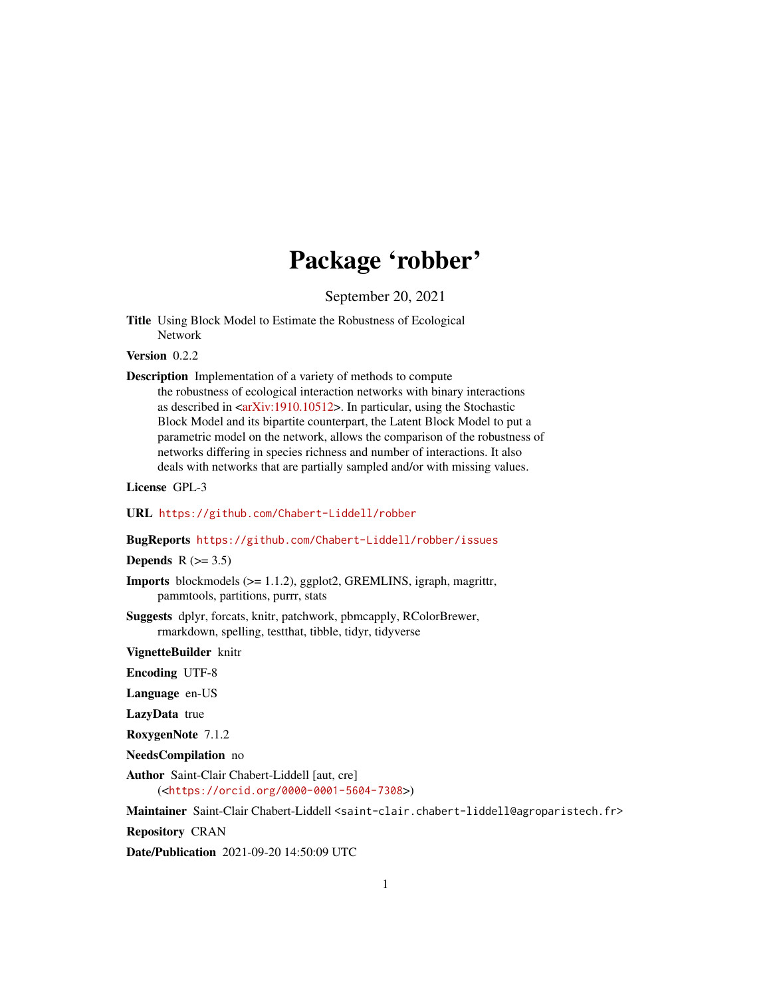## Package 'robber'

September 20, 2021

Title Using Block Model to Estimate the Robustness of Ecological Network

Version 0.2.2

Description Implementation of a variety of methods to compute the robustness of ecological interaction networks with binary interactions as described in  $\langle arXiv:1910.10512\rangle$ . In particular, using the Stochastic Block Model and its bipartite counterpart, the Latent Block Model to put a parametric model on the network, allows the comparison of the robustness of networks differing in species richness and number of interactions. It also deals with networks that are partially sampled and/or with missing values.

License GPL-3

URL <https://github.com/Chabert-Liddell/robber>

BugReports <https://github.com/Chabert-Liddell/robber/issues>

Depends  $R$  ( $>= 3.5$ )

Imports blockmodels (>= 1.1.2), ggplot2, GREMLINS, igraph, magrittr, pammtools, partitions, purrr, stats

Suggests dplyr, forcats, knitr, patchwork, pbmcapply, RColorBrewer, rmarkdown, spelling, testthat, tibble, tidyr, tidyverse

VignetteBuilder knitr

Encoding UTF-8

Language en-US

LazyData true

RoxygenNote 7.1.2

NeedsCompilation no

Author Saint-Clair Chabert-Liddell [aut, cre] (<<https://orcid.org/0000-0001-5604-7308>>)

Maintainer Saint-Clair Chabert-Liddell <saint-clair.chabert-liddell@agroparistech.fr>

Repository CRAN

Date/Publication 2021-09-20 14:50:09 UTC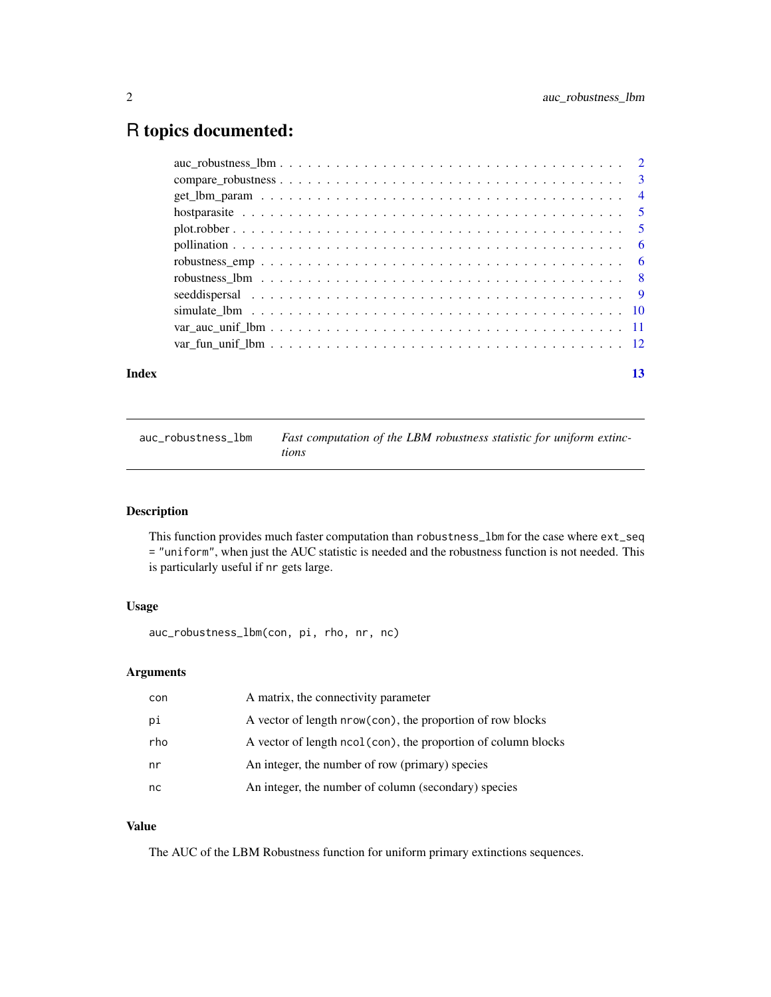### <span id="page-1-0"></span>R topics documented:

| Index |                                                                                                                                    | 13 |
|-------|------------------------------------------------------------------------------------------------------------------------------------|----|
|       |                                                                                                                                    |    |
|       |                                                                                                                                    |    |
|       |                                                                                                                                    |    |
|       |                                                                                                                                    |    |
|       |                                                                                                                                    |    |
|       |                                                                                                                                    |    |
|       |                                                                                                                                    |    |
|       |                                                                                                                                    |    |
|       |                                                                                                                                    |    |
|       |                                                                                                                                    |    |
|       |                                                                                                                                    |    |
|       | $auc\_robustness\_lbm \dots \dots \dots \dots \dots \dots \dots \dots \dots \dots \dots \dots \dots \dots \dots \dots \dots \dots$ |    |

#### auc\_robustness\_lbm *Fast computation of the LBM robustness statistic for uniform extinctions*

#### Description

This function provides much faster computation than robustness\_lbm for the case where ext\_seq = "uniform", when just the AUC statistic is needed and the robustness function is not needed. This is particularly useful if nr gets large.

#### Usage

auc\_robustness\_lbm(con, pi, rho, nr, nc)

#### Arguments

| con | A matrix, the connectivity parameter                          |
|-----|---------------------------------------------------------------|
| рi  | A vector of length nrow(con), the proportion of row blocks    |
| rho | A vector of length ncol(con), the proportion of column blocks |
| nr  | An integer, the number of row (primary) species               |
| nc  | An integer, the number of column (secondary) species          |

#### Value

The AUC of the LBM Robustness function for uniform primary extinctions sequences.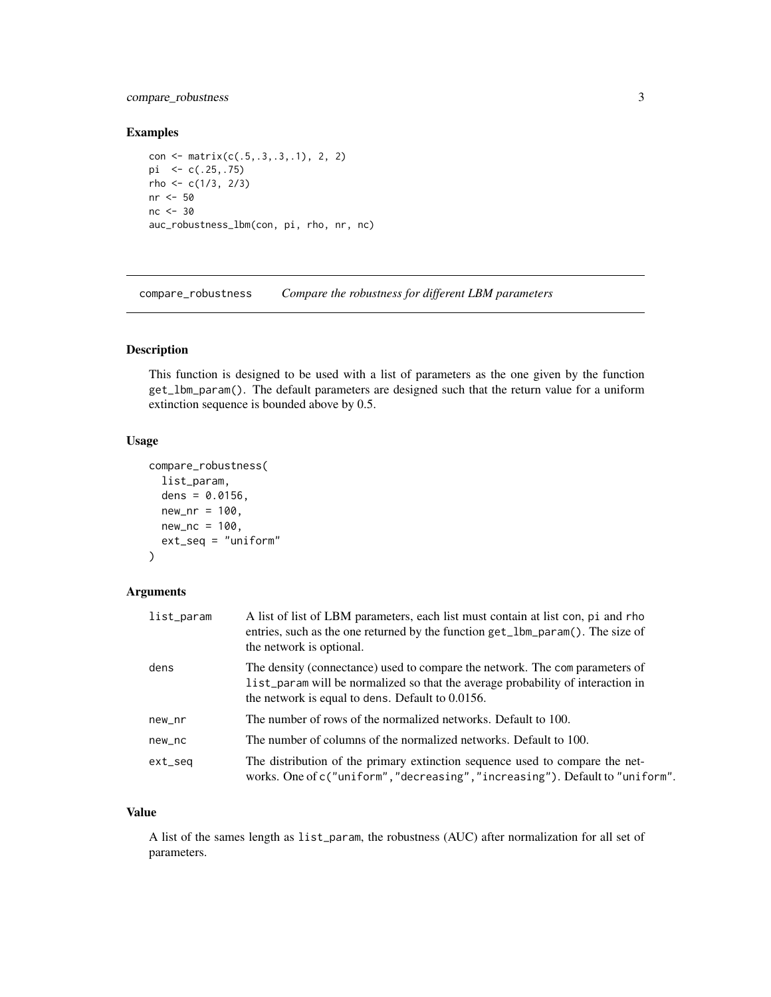#### <span id="page-2-0"></span>compare\_robustness 3

#### Examples

```
con <- matrix(c(.5,.3,.3,.1), 2, 2)
pi <- c(.25,.75)
rho <-c(1/3, 2/3)nr <- 50
nc <- 30
auc_robustness_lbm(con, pi, rho, nr, nc)
```
compare\_robustness *Compare the robustness for different LBM parameters*

#### Description

This function is designed to be used with a list of parameters as the one given by the function get\_lbm\_param(). The default parameters are designed such that the return value for a uniform extinction sequence is bounded above by 0.5.

#### Usage

```
compare_robustness(
  list_param,
  dens = 0.0156,
 new_nr = 100,new_nc = 100,ext_seq = "uniform"
)
```
#### Arguments

| list_param | A list of list of LBM parameters, each list must contain at list con, pi and rho<br>entries, such as the one returned by the function get_1bm_param(). The size of<br>the network is optional.                        |
|------------|-----------------------------------------------------------------------------------------------------------------------------------------------------------------------------------------------------------------------|
| dens       | The density (connectance) used to compare the network. The comparameters of<br>list_param will be normalized so that the average probability of interaction in<br>the network is equal to dens. Default to $0.0156$ . |
| new_nr     | The number of rows of the normalized networks. Default to 100.                                                                                                                                                        |
| new_nc     | The number of columns of the normalized networks. Default to 100.                                                                                                                                                     |
| ext_seq    | The distribution of the primary extinction sequence used to compare the net-<br>works. One of c("uniform","decreasing","increasing"). Default to "uniform".                                                           |

#### Value

A list of the sames length as list\_param, the robustness (AUC) after normalization for all set of parameters.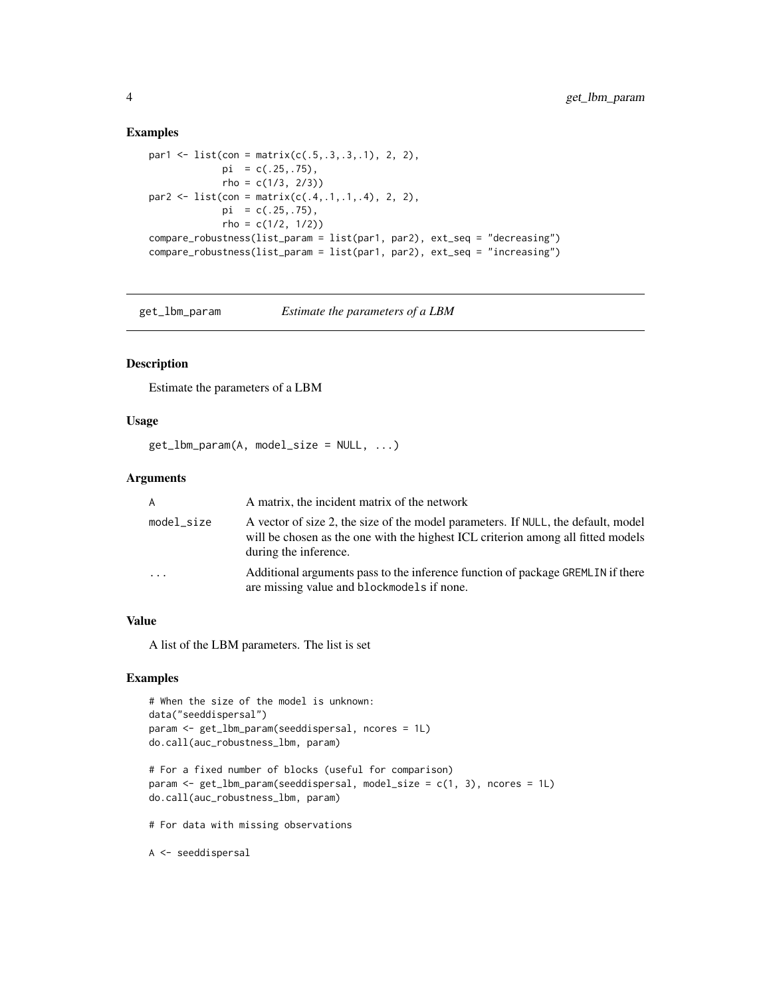#### Examples

```
par1 <- list(con = matrix(c(.5,.3,.3,.1), 2, 2),
            pi = c(.25,.75),
             rho = c(1/3, 2/3)par2 <- list(con = matrix(c(.4,.1,.1,.4), 2, 2),
            pi = c(.25,.75),
            rho = c(1/2, 1/2))
compare_robustness(list_param = list(par1, par2), ext_seq = "decreasing")
compare_robustness(list_param = list(par1, par2), ext_seq = "increasing")
```
- 
- get\_lbm\_param *Estimate the parameters of a LBM*

#### Description

Estimate the parameters of a LBM

#### Usage

```
get_lbm_param(A, model_size = NULL, ...)
```
#### Arguments

| A                       | A matrix, the incident matrix of the network                                                                                                                                                   |
|-------------------------|------------------------------------------------------------------------------------------------------------------------------------------------------------------------------------------------|
| model_size              | A vector of size 2, the size of the model parameters. If NULL, the default, model<br>will be chosen as the one with the highest ICL criterion among all fitted models<br>during the inference. |
| $\cdot$ $\cdot$ $\cdot$ | Additional arguments pass to the inference function of package GREMLIN if there<br>are missing value and blockmodels if none.                                                                  |

#### Value

A list of the LBM parameters. The list is set

#### Examples

```
# When the size of the model is unknown:
data("seeddispersal")
param <- get_lbm_param(seeddispersal, ncores = 1L)
do.call(auc_robustness_lbm, param)
```

```
# For a fixed number of blocks (useful for comparison)
param <- get_lbm_param(seeddispersal, model_size = c(1, 3), ncores = 1L)
do.call(auc_robustness_lbm, param)
```
# For data with missing observations

A <- seeddispersal

<span id="page-3-0"></span>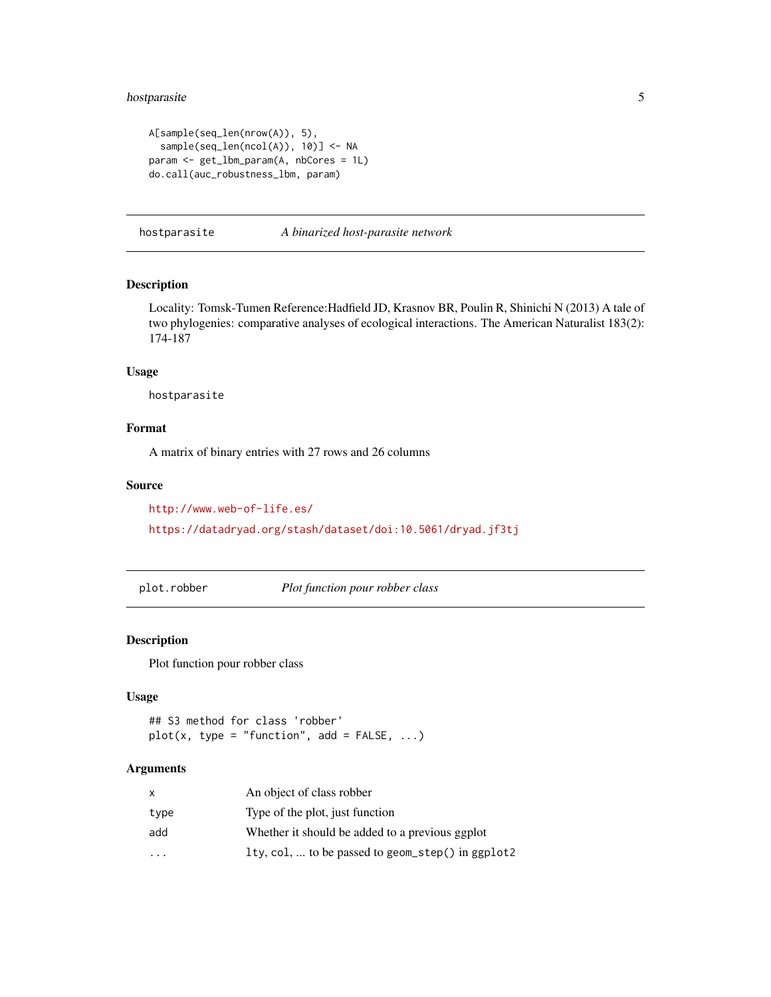#### <span id="page-4-0"></span>hostparasite 5

```
A[sample(seq_len(nrow(A)), 5),
  sample(seq_len(ncol(A)), 10)] <- NA
param <- get_lbm_param(A, nbCores = 1L)
do.call(auc_robustness_lbm, param)
```
hostparasite *A binarized host-parasite network*

#### Description

Locality: Tomsk-Tumen Reference:Hadfield JD, Krasnov BR, Poulin R, Shinichi N (2013) A tale of two phylogenies: comparative analyses of ecological interactions. The American Naturalist 183(2): 174-187

#### Usage

hostparasite

#### Format

A matrix of binary entries with 27 rows and 26 columns

#### Source

<http://www.web-of-life.es/> <https://datadryad.org/stash/dataset/doi:10.5061/dryad.jf3tj>

plot.robber *Plot function pour robber class*

#### Description

Plot function pour robber class

#### Usage

```
## S3 method for class 'robber'
plot(x, type = "function", add = FALSE, ...)
```
#### Arguments

| x    | An object of class robber                         |
|------|---------------------------------------------------|
| type | Type of the plot, just function                   |
| add  | Whether it should be added to a previous ggplot   |
|      | 1ty, col,  to be passed to geom_step() in ggplot2 |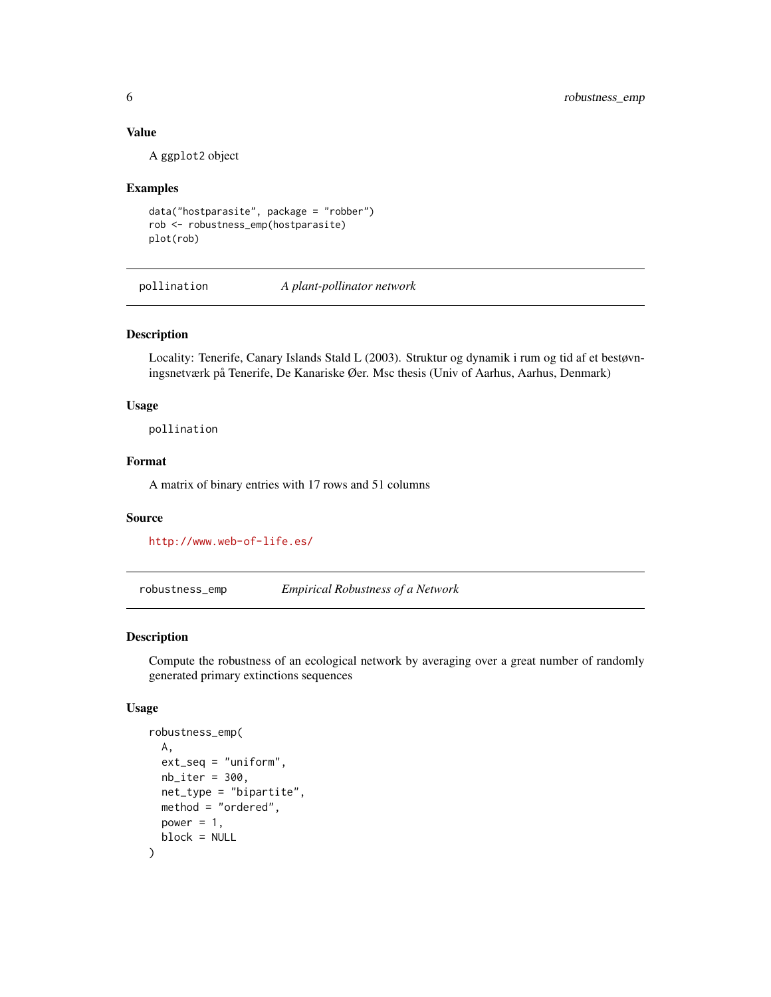#### <span id="page-5-0"></span>Value

A ggplot2 object

#### Examples

```
data("hostparasite", package = "robber")
rob <- robustness_emp(hostparasite)
plot(rob)
```
pollination *A plant-pollinator network*

#### Description

Locality: Tenerife, Canary Islands Stald L (2003). Struktur og dynamik i rum og tid af et bestøvningsnetværk på Tenerife, De Kanariske Øer. Msc thesis (Univ of Aarhus, Aarhus, Denmark)

#### Usage

pollination

#### Format

A matrix of binary entries with 17 rows and 51 columns

#### Source

<http://www.web-of-life.es/>

robustness\_emp *Empirical Robustness of a Network*

#### Description

Compute the robustness of an ecological network by averaging over a great number of randomly generated primary extinctions sequences

#### Usage

```
robustness_emp(
  A,
  ext_seq = "uniform",
  nb<sub>iter</sub> = 300,
 net_type = "bipartite",
 method = "ordered",
 power = 1,
 block = NULL
)
```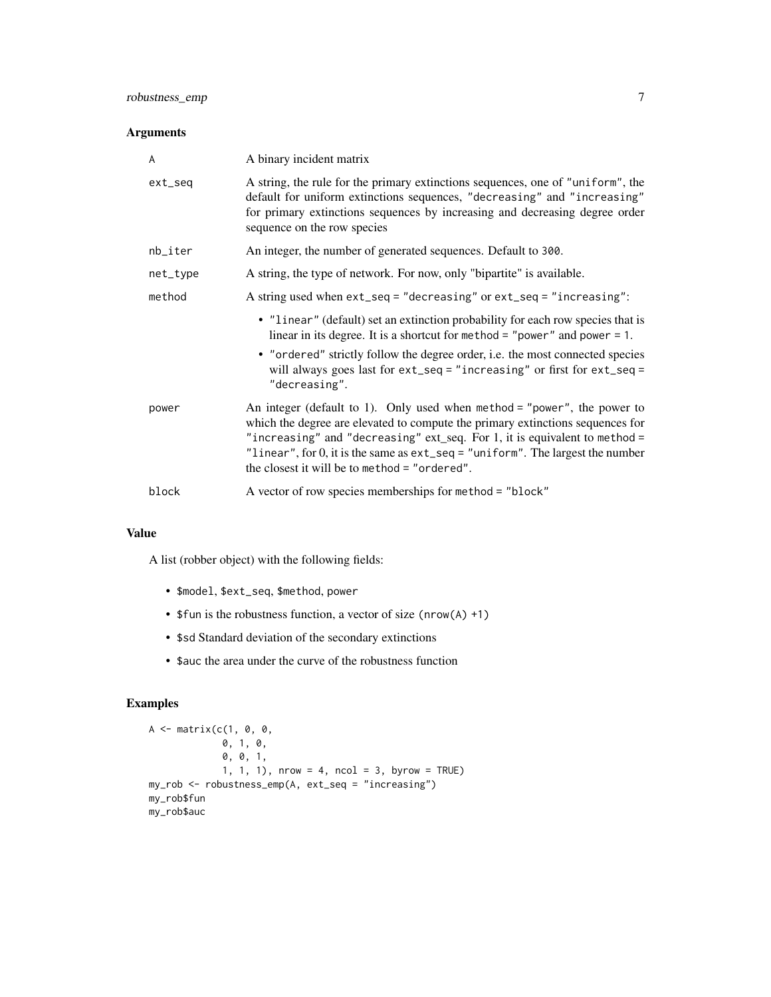#### Arguments

| A        | A binary incident matrix                                                                                                                                                                                                                                                                                                                                                       |
|----------|--------------------------------------------------------------------------------------------------------------------------------------------------------------------------------------------------------------------------------------------------------------------------------------------------------------------------------------------------------------------------------|
| ext_seq  | A string, the rule for the primary extinctions sequences, one of "uniform", the<br>default for uniform extinctions sequences, "decreasing" and "increasing"<br>for primary extinctions sequences by increasing and decreasing degree order<br>sequence on the row species                                                                                                      |
| nb_iter  | An integer, the number of generated sequences. Default to 300.                                                                                                                                                                                                                                                                                                                 |
| net_type | A string, the type of network. For now, only "bipartite" is available.                                                                                                                                                                                                                                                                                                         |
| method   | A string used when ext_seq = "decreasing" or ext_seq = "increasing":                                                                                                                                                                                                                                                                                                           |
|          | • "linear" (default) set an extinction probability for each row species that is<br>linear in its degree. It is a shortcut for method = "power" and power = 1.<br>• "ordered" strictly follow the degree order, i.e. the most connected species<br>will always goes last for ext_seq = "increasing" or first for ext_seq =<br>"decreasing".                                     |
| power    | An integer (default to 1). Only used when method = "power", the power to<br>which the degree are elevated to compute the primary extinctions sequences for<br>"increasing" and "decreasing" ext_seq. For 1, it is equivalent to method =<br>"linear", for 0, it is the same as $ext\_seq = "uniform".$ The largest the number<br>the closest it will be to method = "ordered". |
| block    | A vector of row species memberships for method = "block"                                                                                                                                                                                                                                                                                                                       |

#### Value

A list (robber object) with the following fields:

- \$model, \$ext\_seq, \$method, power
- \$fun is the robustness function, a vector of size (nrow(A) +1)
- \$sd Standard deviation of the secondary extinctions
- \$auc the area under the curve of the robustness function

#### Examples

```
A <- matrix(c(1, 0, 0,
             0, 1, 0,
             0, 0, 1,
             1, 1, 1), nrow = 4, ncol = 3, byrow = TRUE)
my_rob <- robustness_emp(A, ext_seq = "increasing")
my_rob$fun
my_rob$auc
```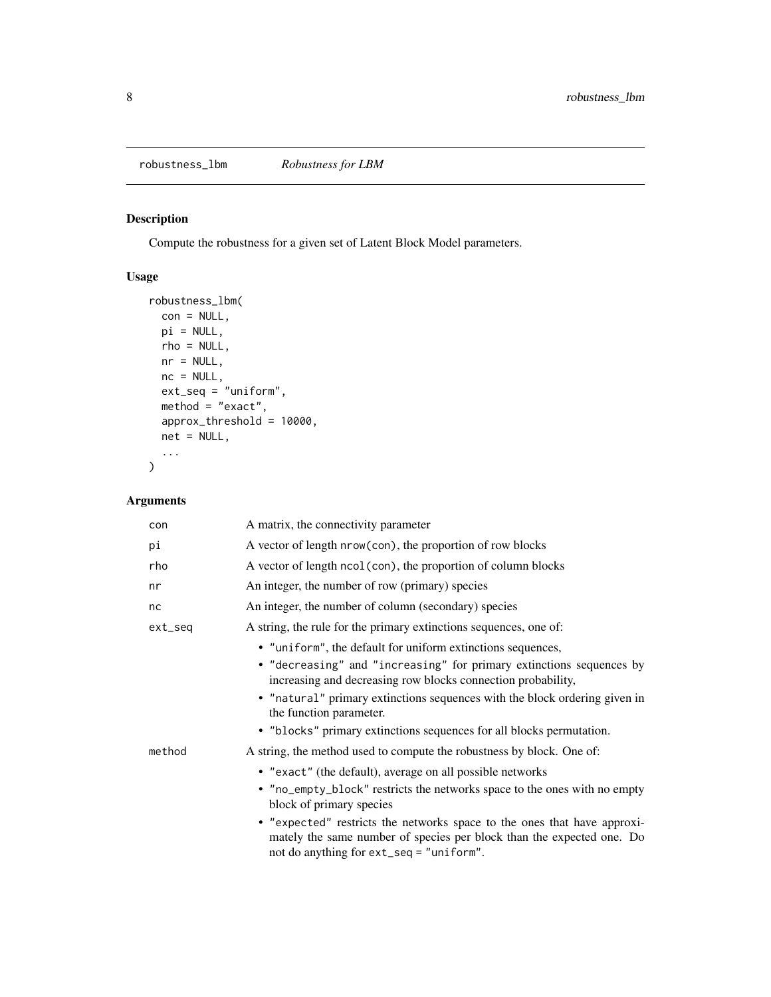<span id="page-7-0"></span>robustness\_lbm *Robustness for LBM*

#### Description

Compute the robustness for a given set of Latent Block Model parameters.

#### Usage

```
robustness_lbm(
 con = NULL,pi = NULL,
 rho = NULL,
 nr = NULL,nc = NULL,ext\_seq = "uniform",method = "exact",approx_threshold = 10000,
 net = NULL,
  ...
)
```
#### Arguments

| con     | A matrix, the connectivity parameter                                                                                                                                                          |
|---------|-----------------------------------------------------------------------------------------------------------------------------------------------------------------------------------------------|
| рi      | A vector of length nrow(con), the proportion of row blocks                                                                                                                                    |
| rho     | A vector of length ncol (con), the proportion of column blocks                                                                                                                                |
| nr      | An integer, the number of row (primary) species                                                                                                                                               |
| nc      | An integer, the number of column (secondary) species                                                                                                                                          |
| ext_seq | A string, the rule for the primary extinctions sequences, one of:                                                                                                                             |
|         | • "uniform", the default for uniform extinctions sequences,                                                                                                                                   |
|         | • "decreasing" and "increasing" for primary extinctions sequences by<br>increasing and decreasing row blocks connection probability,                                                          |
|         | • "natural" primary extinctions sequences with the block ordering given in<br>the function parameter.                                                                                         |
|         | • "blocks" primary extinctions sequences for all blocks permutation.                                                                                                                          |
| method  | A string, the method used to compute the robustness by block. One of:                                                                                                                         |
|         | • "exact" (the default), average on all possible networks                                                                                                                                     |
|         | • "no_empty_block" restricts the networks space to the ones with no empty<br>block of primary species                                                                                         |
|         | • "expected" restricts the networks space to the ones that have approxi-<br>mately the same number of species per block than the expected one. Do<br>not do anything for ext_seq = "uniform". |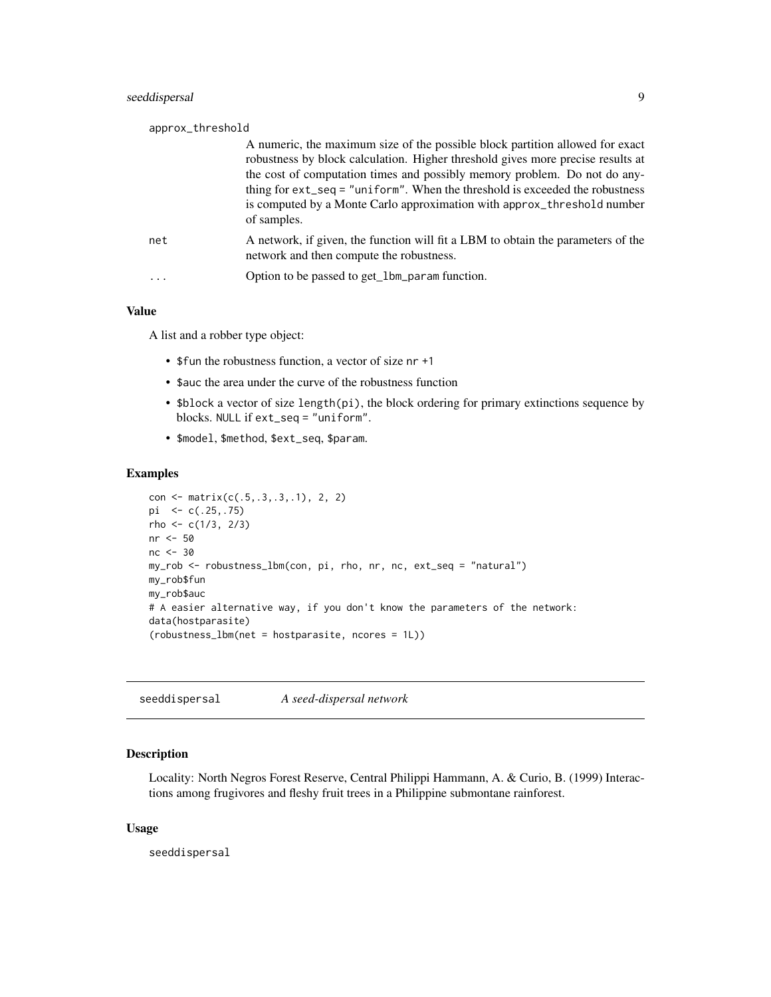<span id="page-8-0"></span>

| approx_threshold |                                                                                                                                                                                                                                                                                                                                                                                                                            |
|------------------|----------------------------------------------------------------------------------------------------------------------------------------------------------------------------------------------------------------------------------------------------------------------------------------------------------------------------------------------------------------------------------------------------------------------------|
|                  | A numeric, the maximum size of the possible block partition allowed for exact<br>robustness by block calculation. Higher threshold gives more precise results at<br>the cost of computation times and possibly memory problem. Do not do any-<br>thing for $ext\_seq = "uniform".$ When the threshold is exceeded the robustness<br>is computed by a Monte Carlo approximation with approx_threshold number<br>of samples. |
| net              | A network, if given, the function will fit a LBM to obtain the parameters of the<br>network and then compute the robustness.                                                                                                                                                                                                                                                                                               |
|                  | Option to be passed to get_1bm_param function.                                                                                                                                                                                                                                                                                                                                                                             |

#### Value

A list and a robber type object:

- \$fun the robustness function, a vector of size nr +1
- \$auc the area under the curve of the robustness function
- \$block a vector of size length(pi), the block ordering for primary extinctions sequence by blocks. NULL if ext\_seq = "uniform".
- \$model, \$method, \$ext\_seq, \$param.

#### Examples

```
con <- matrix(c(.5,.3,.3,.1), 2, 2)
pi <- c(.25,.75)
rho <- c(1/3, 2/3)nr <- 50
nc <- 30
my_rob <- robustness_lbm(con, pi, rho, nr, nc, ext_seq = "natural")
my_rob$fun
my_rob$auc
# A easier alternative way, if you don't know the parameters of the network:
data(hostparasite)
(robustness_lbm(net = hostparasite, ncores = 1L))
```
seeddispersal *A seed-dispersal network*

#### Description

Locality: North Negros Forest Reserve, Central Philippi Hammann, A. & Curio, B. (1999) Interactions among frugivores and fleshy fruit trees in a Philippine submontane rainforest.

#### Usage

seeddispersal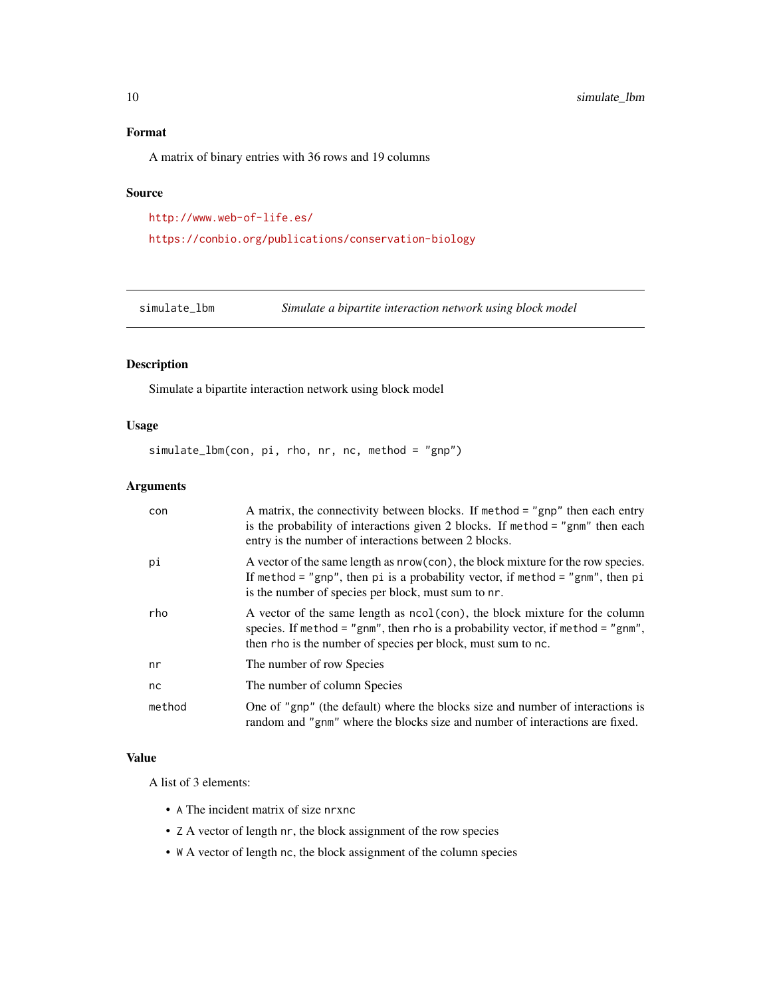#### <span id="page-9-0"></span>Format

A matrix of binary entries with 36 rows and 19 columns

#### Source

```
http://www.web-of-life.es/
```
<https://conbio.org/publications/conservation-biology>

simulate\_lbm *Simulate a bipartite interaction network using block model*

#### Description

Simulate a bipartite interaction network using block model

#### Usage

simulate\_lbm(con, pi, rho, nr, nc, method = "gnp")

#### Arguments

| con    | A matrix, the connectivity between blocks. If method = "gnp" then each entry<br>is the probability of interactions given 2 blocks. If method = "gnm" then each<br>entry is the number of interactions between 2 blocks.            |
|--------|------------------------------------------------------------------------------------------------------------------------------------------------------------------------------------------------------------------------------------|
| рi     | A vector of the same length as nrow(con), the block mixture for the row species.<br>If method = "gnp", then pi is a probability vector, if method = "gnm", then pi<br>is the number of species per block, must sum to nr.          |
| rho    | A vector of the same length as $ncol (con)$ , the block mixture for the column<br>species. If method = "gnm", then rho is a probability vector, if method = "gnm",<br>then rho is the number of species per block, must sum to nc. |
| nr     | The number of row Species                                                                                                                                                                                                          |
| nc     | The number of column Species                                                                                                                                                                                                       |
| method | One of "gnp" (the default) where the blocks size and number of interactions is<br>random and "gnm" where the blocks size and number of interactions are fixed.                                                                     |

#### Value

A list of 3 elements:

- A The incident matrix of size nrxnc
- Z A vector of length nr, the block assignment of the row species
- W A vector of length nc, the block assignment of the column species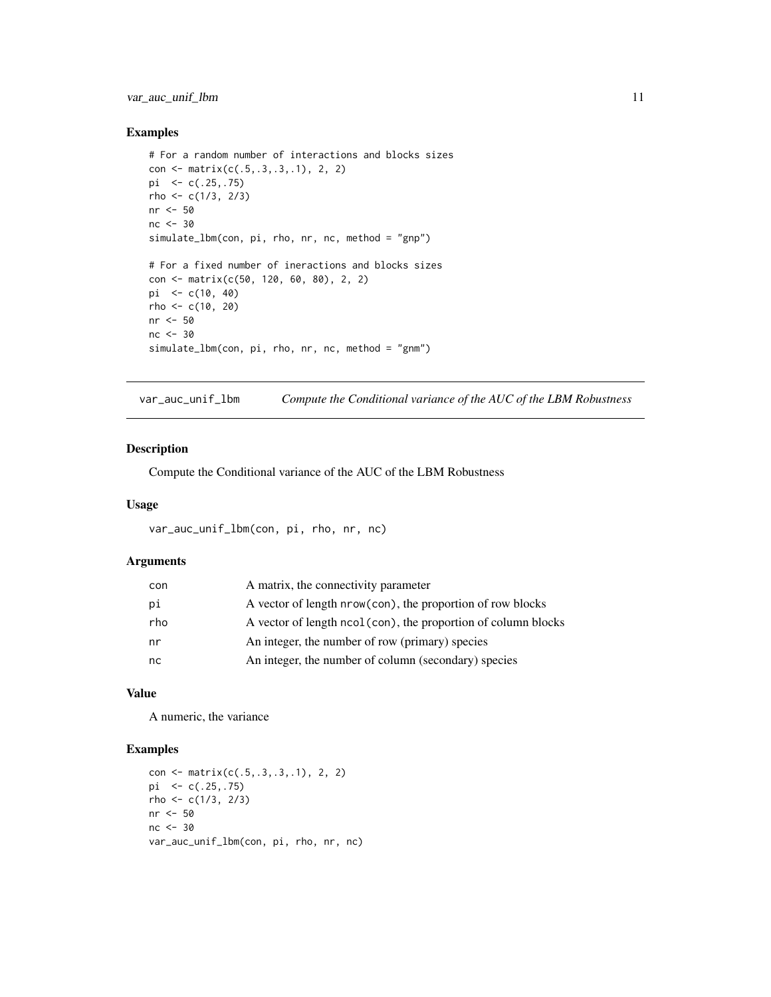<span id="page-10-0"></span>var\_auc\_unif\_lbm 11

#### Examples

```
# For a random number of interactions and blocks sizes
con <- matrix(c(.5,.3,.3,.1), 2, 2)
pi \leq c(.25,.75)rho <- c(1/3, 2/3)nr <- 50
nc <- 30
simulate_lbm(con, pi, rho, nr, nc, method = "gnp")
# For a fixed number of ineractions and blocks sizes
con <- matrix(c(50, 120, 60, 80), 2, 2)
pi <- c(10, 40)
rho <- c(10, 20)
nr <- 50
nc <- 30
simulate_lbm(con, pi, rho, nr, nc, method = "gnm")
```
var\_auc\_unif\_lbm *Compute the Conditional variance of the AUC of the LBM Robustness*

#### Description

Compute the Conditional variance of the AUC of the LBM Robustness

#### Usage

```
var_auc_unif_lbm(con, pi, rho, nr, nc)
```
#### Arguments

| con | A matrix, the connectivity parameter                          |
|-----|---------------------------------------------------------------|
| pi  | A vector of length nrow(con), the proportion of row blocks    |
| rho | A vector of length ncol(con), the proportion of column blocks |
| nr  | An integer, the number of row (primary) species               |
| nc  | An integer, the number of column (secondary) species          |

#### Value

A numeric, the variance

#### Examples

```
con <- matrix(c(.5,.3,.3,.1), 2, 2)
pi <- c(.25,.75)
rho <- c(1/3, 2/3)nr <- 50
nc <- 30
var_auc_unif_lbm(con, pi, rho, nr, nc)
```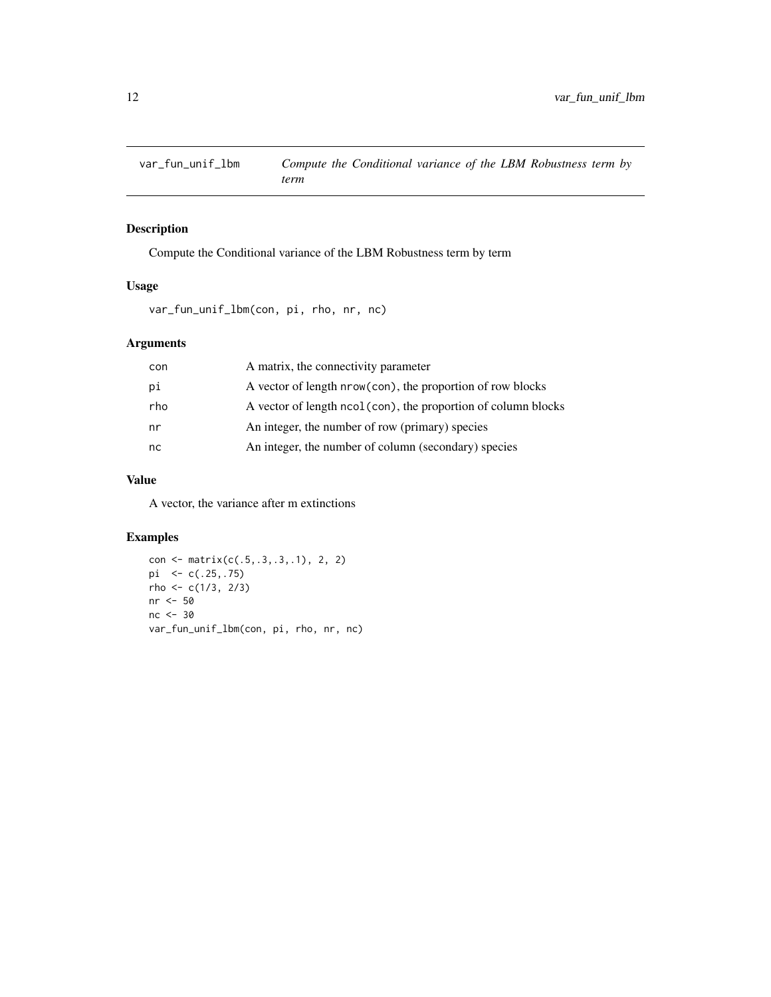<span id="page-11-0"></span>

#### Description

Compute the Conditional variance of the LBM Robustness term by term

#### Usage

var\_fun\_unif\_lbm(con, pi, rho, nr, nc)

#### Arguments

| con | A matrix, the connectivity parameter                          |
|-----|---------------------------------------------------------------|
| рi  | A vector of length nrow(con), the proportion of row blocks    |
| rho | A vector of length ncol(con), the proportion of column blocks |
| nr  | An integer, the number of row (primary) species               |
| nc. | An integer, the number of column (secondary) species          |
|     |                                                               |

#### Value

A vector, the variance after m extinctions

#### Examples

```
con <- matrix(c(.5,.3,.3,.1), 2, 2)
pi <- c(.25,.75)
rho <- c(1/3, 2/3)
nr <- 50
nc <- 30
var_fun_unif_lbm(con, pi, rho, nr, nc)
```